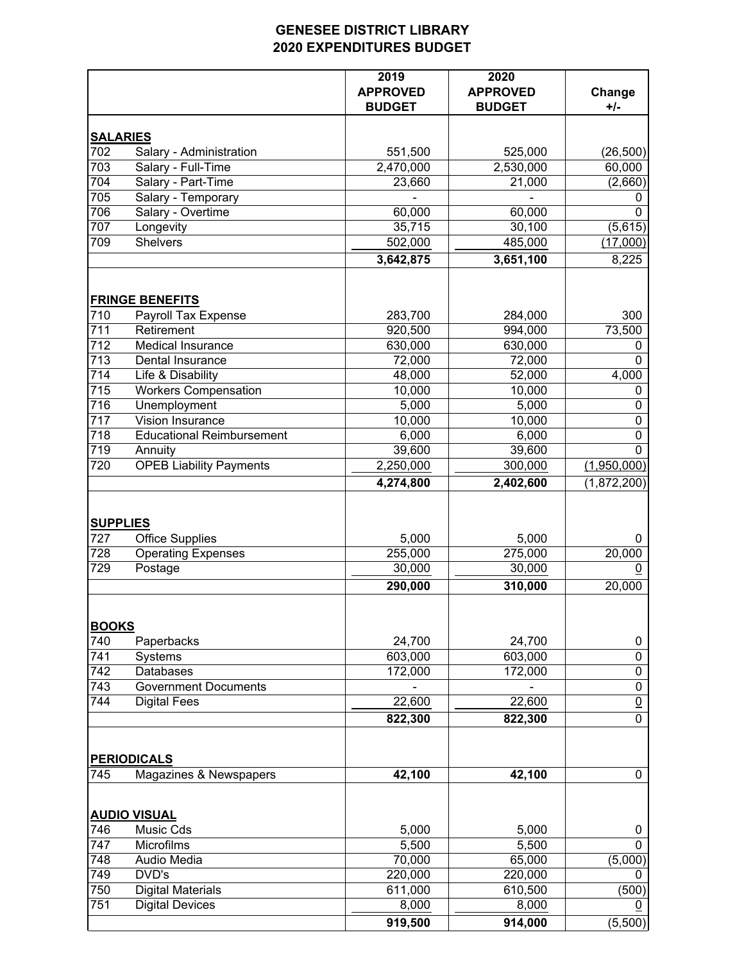## **GENESEE DISTRICT LIBRARY 2020 EXPENDITURES BUDGET**

|                  |                                  | 2019<br><b>APPROVED</b><br><b>BUDGET</b> | 2020<br><b>APPROVED</b><br><b>BUDGET</b> | Change<br>$+/-$ |
|------------------|----------------------------------|------------------------------------------|------------------------------------------|-----------------|
| <b>SALARIES</b>  |                                  |                                          |                                          |                 |
| 702              | Salary - Administration          | 551,500                                  | 525,000                                  | (26, 500)       |
| 703              | Salary - Full-Time               | 2,470,000                                | 2,530,000                                | 60,000          |
| 704              | Salary - Part-Time               | 23,660                                   | 21,000                                   | (2,660)         |
| 705              | Salary - Temporary               |                                          |                                          | 0               |
| 706              | Salary - Overtime                | 60,000                                   | 60,000                                   | $\mathbf 0$     |
| 707              | Longevity                        | 35,715                                   | 30,100                                   | (5,615)         |
| 709              | <b>Shelvers</b>                  | 502,000                                  | 485,000                                  | (17,000)        |
|                  |                                  | 3,642,875                                | 3,651,100                                | 8,225           |
|                  | <b>FRINGE BENEFITS</b>           |                                          |                                          |                 |
| 710              | <b>Payroll Tax Expense</b>       | 283,700                                  | 284,000                                  | 300             |
| 711              | Retirement                       | 920,500                                  | 994,000                                  | 73,500          |
| 712              | <b>Medical Insurance</b>         | 630,000                                  | 630,000                                  | 0               |
| $\overline{713}$ | Dental Insurance                 | 72,000                                   | 72,000                                   | $\Omega$        |
| 714              | Life & Disability                | 48,000                                   | 52,000                                   | 4,000           |
| 715              | <b>Workers Compensation</b>      | 10,000                                   | 10,000                                   | $\pmb{0}$       |
| $\overline{716}$ | Unemployment                     | 5,000                                    | 5,000                                    | 0               |
| 717              | Vision Insurance                 | 10,000                                   | 10,000                                   | $\pmb{0}$       |
| 718              | <b>Educational Reimbursement</b> | 6,000                                    | 6,000                                    | $\pmb{0}$       |
| 719              | Annuity                          | 39,600                                   | 39,600                                   | 0               |
| 720              | <b>OPEB Liability Payments</b>   | 2,250,000                                | 300,000                                  | (1,950,000)     |
|                  |                                  | 4,274,800                                | 2,402,600                                | (1,872,200)     |
| <b>SUPPLIES</b>  |                                  |                                          |                                          |                 |
| 727              | <b>Office Supplies</b>           | 5,000                                    | 5,000                                    | 0               |
| 728              | <b>Operating Expenses</b>        | 255,000                                  | 275,000                                  | 20,000          |
| 729              | Postage                          | 30,000                                   | 30,000                                   | $\pmb{0}$       |
|                  |                                  | 290,000                                  | 310,000                                  | 20,000          |
| <b>BOOKS</b>     |                                  |                                          |                                          |                 |
| 740              | Paperbacks                       | 24,700                                   | 24,700                                   | 0               |
| 741              | Systems                          | 603,000                                  | 603,000                                  | $\pmb{0}$       |
| 742              | Databases                        | 172,000                                  | 172,000                                  | $\pmb{0}$       |
| 743              | <b>Government Documents</b>      |                                          |                                          | $\pmb{0}$       |
| 744              | <b>Digital Fees</b>              | 22,600                                   | 22,600                                   | $\underline{0}$ |
|                  |                                  | 822,300                                  | 822,300                                  | $\overline{0}$  |
|                  | <b>PERIODICALS</b>               |                                          |                                          |                 |
| 745              | Magazines & Newspapers           | 42,100                                   | 42,100                                   | 0               |
|                  | <b>AUDIO VISUAL</b>              |                                          |                                          |                 |
| 746              | Music Cds                        | 5,000                                    | 5,000                                    | 0               |
| 747              | Microfilms                       | 5,500                                    | 5,500                                    | 0               |
| 748              | Audio Media                      | 70,000                                   | 65,000                                   | (5,000)         |
| 749              | DVD's                            | 220,000                                  | 220,000                                  | 0               |
| 750              | <b>Digital Materials</b>         | 611,000                                  | 610,500                                  | (500)           |
| 751              | <b>Digital Devices</b>           | 8,000                                    | 8,000                                    | $\underline{0}$ |
|                  |                                  | 919,500                                  | 914,000                                  | (5,500)         |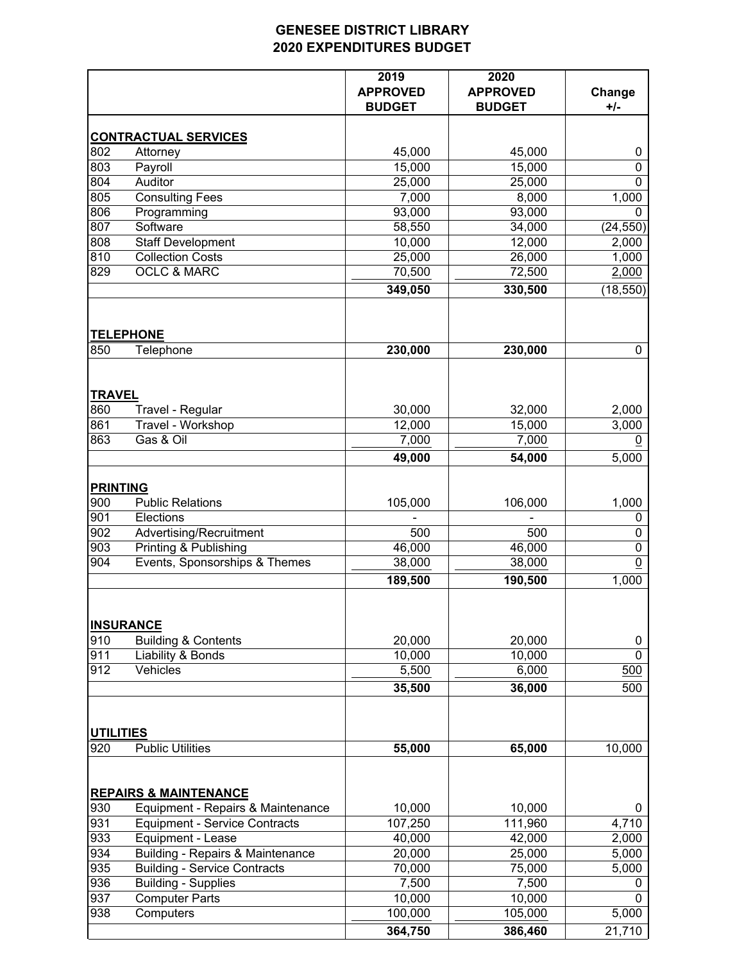## **GENESEE DISTRICT LIBRARY 2020 EXPENDITURES BUDGET**

|                  |                                             | 2019<br><b>APPROVED</b><br><b>BUDGET</b> | 2020<br><b>APPROVED</b><br><b>BUDGET</b> | Change<br>$+/-$ |
|------------------|---------------------------------------------|------------------------------------------|------------------------------------------|-----------------|
|                  | <b>CONTRACTUAL SERVICES</b>                 |                                          |                                          |                 |
| 802              | Attorney                                    | 45,000                                   | 45,000                                   | 0               |
| 803              | Payroll                                     | 15,000                                   | 15,000                                   | $\mathbf 0$     |
| 804              | Auditor                                     | 25,000                                   | 25,000                                   | $\mathbf{0}$    |
| 805              | <b>Consulting Fees</b>                      | 7,000                                    | 8,000                                    | 1,000           |
| 806              | Programming                                 | 93,000                                   | 93,000                                   | $\Omega$        |
| 807              | Software                                    | 58,550                                   | 34,000                                   | (24, 550)       |
| 808              | <b>Staff Development</b>                    | 10,000                                   | 12,000                                   | 2,000           |
| 810              | <b>Collection Costs</b>                     | 25,000                                   | 26,000                                   | 1,000           |
| 829              | <b>OCLC &amp; MARC</b>                      | 70,500                                   | 72,500                                   | 2,000           |
|                  |                                             | 349,050                                  | 330,500                                  | (18, 550)       |
|                  | <b>TELEPHONE</b>                            |                                          |                                          |                 |
| 850              | Telephone                                   | 230,000                                  | 230,000                                  | 0               |
| <b>TRAVEL</b>    |                                             |                                          |                                          |                 |
| 860              | Travel - Regular                            | 30,000                                   | 32,000                                   | 2,000           |
| 861              | Travel - Workshop                           | 12,000                                   | 15,000                                   | 3,000           |
| 863              | Gas & Oil                                   | 7,000                                    | 7,000                                    | 0               |
|                  |                                             | 49,000                                   | 54,000                                   | 5,000           |
| <b>PRINTING</b>  |                                             |                                          |                                          |                 |
| 900              | <b>Public Relations</b>                     | 105,000                                  | 106,000                                  | 1,000           |
| 901              | Elections                                   |                                          |                                          | 0               |
| 902              | Advertising/Recruitment                     | 500                                      | 500                                      | 0               |
| 903              | Printing & Publishing                       | 46,000                                   | 46,000                                   | $\mathbf 0$     |
| 904              | Events, Sponsorships & Themes               | 38,000                                   | 38,000                                   | $\underline{0}$ |
|                  |                                             | 189,500                                  | 190,500                                  | 1,000           |
|                  | <b>INSURANCE</b>                            |                                          |                                          |                 |
| 910              | <b>Building &amp; Contents</b>              | 20,000                                   | 20,000                                   | 0               |
| 911              | Liability & Bonds                           | 10,000                                   | 10,000                                   | $\mathbf 0$     |
| 912              | Vehicles                                    | 5,500                                    | 6,000                                    | 500             |
|                  |                                             | 35,500                                   | 36,000                                   | 500             |
| <b>UTILITIES</b> |                                             |                                          |                                          |                 |
| 920              | <b>Public Utilities</b>                     | 55,000                                   | 65,000                                   | 10,000          |
|                  | <b>REPAIRS &amp; MAINTENANCE</b>            |                                          |                                          |                 |
| 930              | Equipment - Repairs & Maintenance           | 10,000                                   | 10,000                                   | 0               |
| 931              | <b>Equipment - Service Contracts</b>        | 107,250                                  | 111,960                                  | 4,710           |
| 933              | <b>Equipment - Lease</b>                    | 40,000                                   | 42,000                                   | 2,000           |
| 934              | <b>Building - Repairs &amp; Maintenance</b> | 20,000                                   | 25,000                                   | 5,000           |
| 935              | <b>Building - Service Contracts</b>         | 70,000                                   | 75,000                                   | 5,000           |
| 936              | <b>Building - Supplies</b>                  | 7,500                                    | 7,500                                    | 0               |
| 937              | <b>Computer Parts</b>                       | 10,000                                   | 10,000                                   | 0               |
| 938              | Computers                                   | 100,000                                  | 105,000                                  | 5,000           |
|                  |                                             | 364,750                                  | 386,460                                  | 21,710          |